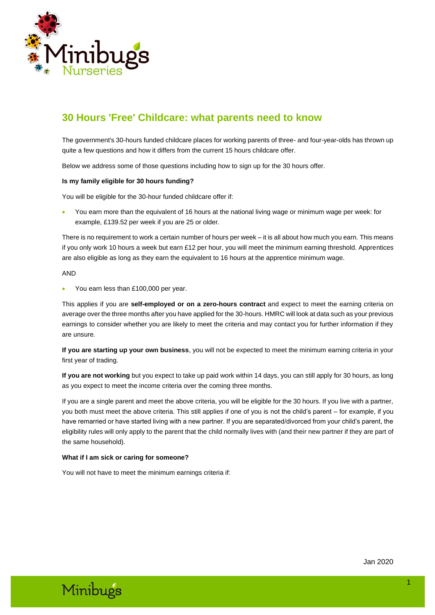

# **30 Hours 'Free' Childcare: what parents need to know**

The government's 30-hours funded childcare places for working parents of three- and four-year-olds has thrown up quite a few questions and how it differs from the current 15 hours childcare offer.

Below we address some of those questions including how to sign up for the 30 hours offer.

#### **Is my family eligible for 30 hours funding?**

You will be eligible for the 30-hour funded childcare offer if:

• You earn more than the equivalent of 16 hours at the national living wage or minimum wage per week: for example, £139.52 per week if you are 25 or older.

There is no requirement to work a certain number of hours per week – it is all about how much you earn. This means if you only work 10 hours a week but earn £12 per hour, you will meet the minimum earning threshold. Apprentices are also eligible as long as they earn the equivalent to 16 hours at the apprentice minimum wage.

#### AND

• You earn less than £100,000 per year.

This applies if you are **self-employed or on a zero-hours contract** and expect to meet the earning criteria on average over the three months after you have applied for the 30-hours. HMRC will look at data such as your previous earnings to consider whether you are likely to meet the criteria and may contact you for further information if they are unsure.

**If you are starting up your own business**, you will not be expected to meet the minimum earning criteria in your first year of trading.

**If you are not working** but you expect to take up paid work within 14 days, you can still apply for 30 hours, as long as you expect to meet the income criteria over the coming three months.

If you are a single parent and meet the above criteria, you will be eligible for the 30 hours. If you live with a partner, you both must meet the above criteria. This still applies if one of you is not the child's parent – for example, if you have remarried or have started living with a new partner. If you are separated/divorced from your child's parent, the eligibility rules will only apply to the parent that the child normally lives with (and their new partner if they are part of the same household).

# **What if I am sick or caring for someone?**

You will not have to meet the minimum earnings criteria if:

# Minibugs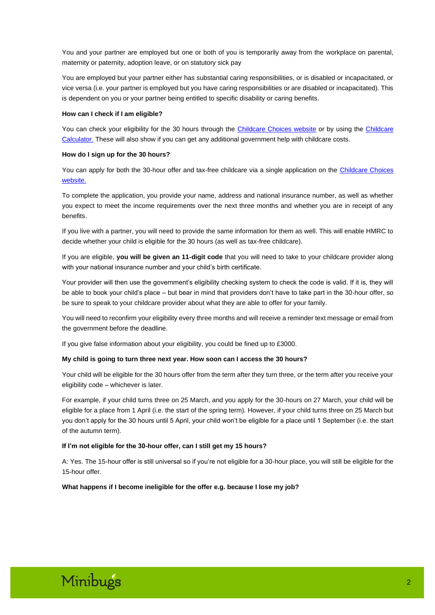You and your partner are employed but one or both of you is temporarily away from the workplace on parental, maternity or paternity, adoption leave, or on statutory sick pay

You are employed but your partner either has substantial caring responsibilities, or is disabled or incapacitated, or vice versa (i.e. your partner is employed but you have caring responsibilities or are disabled or incapacitated). This is dependent on you or your partner being entitled to specific disability or caring benefits.

#### **How can I check if I am eligible?**

You can check your eligibility for the 30 hours through the [Childcare Choices](https://www.childcarechoices.gov.uk/) website or by using the [Childcare](https://www.gov.uk/childcare-calculator)  [Calculator.](https://www.gov.uk/childcare-calculator) These will also show if you can get any additional government help with childcare costs.

#### **How do I sign up for the 30 hours?**

You can apply for both the 30-hour offer and tax-free childcare via a single application on the Childcare Choices [website.](https://www.childcarechoices.gov.uk/)

To complete the application, you provide your name, address and national insurance number, as well as whether you expect to meet the income requirements over the next three months and whether you are in receipt of any benefits.

If you live with a partner, you will need to provide the same information for them as well. This will enable HMRC to decide whether your child is eligible for the 30 hours (as well as tax-free childcare).

If you are eligible, **you will be given an 11-digit code** that you will need to take to your childcare provider along with your national insurance number and your child's birth certificate.

Your provider will then use the government's eligibility checking system to check the code is valid. If it is, they will be able to book your child's place – but bear in mind that providers don't have to take part in the 30-hour offer, so be sure to speak to your childcare provider about what they are able to offer for your family.

You will need to reconfirm your eligibility every three months and will receive a reminder text message or email from the government before the deadline.

If you give false information about your eligibility, you could be fined up to £3000.

# **My child is going to turn three next year. How soon can I access the 30 hours?**

Your child will be eligible for the 30 hours offer from the term after they turn three, or the term after you receive your eligibility code – whichever is later.

For example, if your child turns three on 25 March, and you apply for the 30-hours on 27 March, your child will be eligible for a place from 1 April (i.e. the start of the spring term). However, if your child turns three on 25 March but you don't apply for the 30 hours until 5 April, your child won't be eligible for a place until 1 September (i.e. the start of the autumn term).

# **If I'm not eligible for the 30-hour offer, can I still get my 15 hours?**

A: Yes. The 15-hour offer is still universal so if you're not eligible for a 30-hour place, you will still be eligible for the 15-hour offer.

**What happens if I become ineligible for the offer e.g. because I lose my job?**

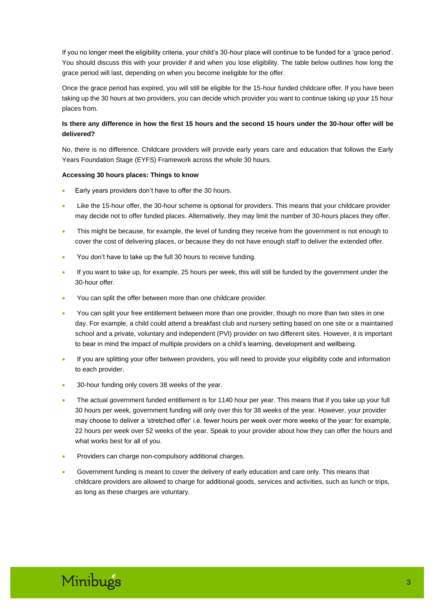If you no longer meet the eligibility criteria, your child's 30-hour place will continue to be funded for a 'grace period'. You should discuss this with your provider if and when you lose eligibility. The table below outlines how long the grace period will last, depending on when you become ineligible for the offer.

Once the grace period has expired, you will still be eligible for the 15-hour funded childcare offer. If you have been taking up the 30 hours at two providers, you can decide which provider you want to continue taking up your 15 hour places from.

# **Is there any difference in how the first 15 hours and the second 15 hours under the 30-hour offer will be delivered?**

No, there is no difference. Childcare providers will provide early years care and education that follows the Early Years Foundation Stage (EYFS) Framework across the whole 30 hours.

# **Accessing 30 hours places: Things to know**

- Early years providers don't have to offer the 30 hours.
- Like the 15-hour offer, the 30-hour scheme is optional for providers. This means that your childcare provider may decide not to offer funded places. Alternatively, they may limit the number of 30-hours places they offer.
- This might be because, for example, the level of funding they receive from the government is not enough to cover the cost of delivering places, or because they do not have enough staff to deliver the extended offer.
- You don't have to take up the full 30 hours to receive funding.
- If you want to take up, for example, 25 hours per week, this will still be funded by the government under the 30-hour offer.
- You can split the offer between more than one childcare provider.
- You can split your free entitlement between more than one provider, though no more than two sites in one day. For example, a child could attend a breakfast club and nursery setting based on one site or a maintained school and a private, voluntary and independent (PVI) provider on two different sites. However, it is important to bear in mind the impact of multiple providers on a child's learning, development and wellbeing.
- If you are splitting your offer between providers, you will need to provide your eligibility code and information to each provider.
- 30-hour funding only covers 38 weeks of the year.
- The actual government funded entitlement is for 1140 hour per year. This means that if you take up your full 30 hours per week, government funding will only over this for 38 weeks of the year. However, your provider may choose to deliver a 'stretched offer' i.e. fewer hours per week over more weeks of the year: for example, 22 hours per week over 52 weeks of the year. Speak to your provider about how they can offer the hours and what works best for all of you.
- Providers can charge non-compulsory additional charges.
- Government funding is meant to cover the delivery of early education and care only. This means that childcare providers are allowed to charge for additional goods, services and activities, such as lunch or trips, as long as these charges are voluntary.

# Minibugs